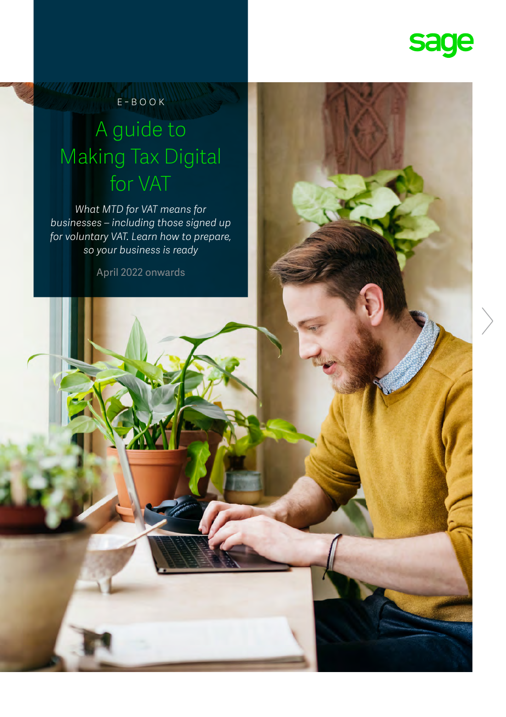

e-book

### A guide to Making Tax Digital for VAT

*What MTD for VAT means for businesses – including those signed up for voluntary VAT. Learn how to prepare, so your business is ready*

April 2022 onwards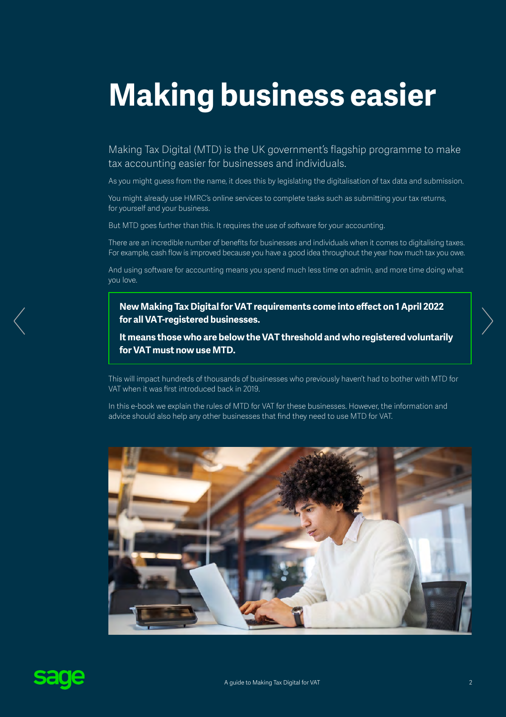# **Making business easier**

Making Tax Digital (MTD) is the UK government's flagship programme to make tax accounting easier for businesses and individuals.

As you might guess from the name, it does this by legislating the digitalisation of tax data and submission.

You might already use HMRC's online services to complete tasks such as submitting your tax returns, for yourself and your business.

But MTD goes further than this. It requires the use of software for your accounting.

There are an incredible number of benefits for businesses and individuals when it comes to digitalising taxes. For example, cash flow is improved because you have a good idea throughout the year how much tax you owe.

And using software for accounting means you spend much less time on admin, and more time doing what you love.

**New Making Tax Digital for VAT requirements come into effect on 1 April 2022 for all VAT-registered businesses.** 

**It means those who are below the VAT threshold and who registered voluntarily for VAT must now use MTD.** 

This will impact hundreds of thousands of businesses who previously haven't had to bother with MTD for VAT when it was first introduced back in 2019.

In this e-book we explain the rules of MTD for VAT for these businesses. However, the information and advice should also help any other businesses that find they need to use MTD for VAT.



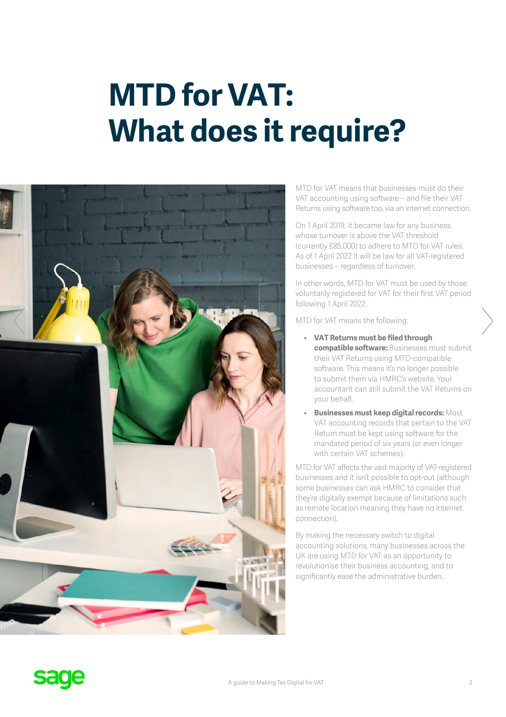### **MTD for VAT: What does it require?**



MTD for VAT means that businesses must do their VAT accounting using software – and file their VAT Returns using software too, via an internet connection.

On 1 April 2019, it became law for any business whose turnover is above the VAT threshold (currently £85,000) to adhere to MTD for VAT rules. As of 1 April 2022 it will be law for all VAT-registered businesses – regardless of turnover.

In other words, MTD for VAT must be used by those voluntarily registered for VAT for their first VAT period following 1 April 2022.

MTD for VAT means the following:

- **VAT Returns must be filed through compatible software:** Businesses must submit their VAT Returns using MTD-compatible software. This means it's no longer possible to submit them via HMRC's website. Your accountant can still submit the VAT Returns on your behalf.
- **Businesses must keep digital records:** Most VAT accounting records that pertain to the VAT Return must be kept using software for the mandated period of six years (or even longer with certain VAT schemes).

MTD for VAT affects the vast majority of VAT-registered businesses and it isn't possible to opt-out (although some businesses can ask HMRC to consider that they're digitally exempt because of limitations such as remote location meaning they have no internet connection).

By making the necessary switch to digital accounting solutions, many businesses across the UK are using MTD for VAT as an opportunity to revolutionise their business accounting, and to significantly ease the administrative burden.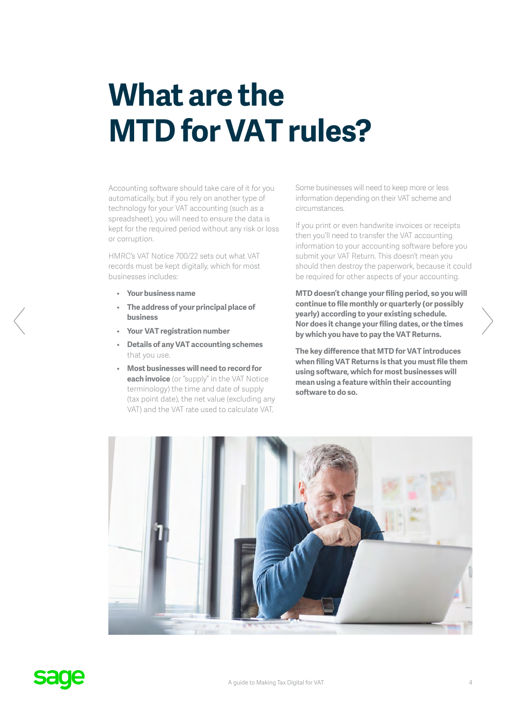### **What are the MTD for VAT rules?**

Accounting software should take care of it for you automatically, but if you rely on another type of technology for your VAT accounting (such as a spreadsheet), you will need to ensure the data is kept for the required period without any risk or loss or corruption.

HMRC's VAT Notice 700/22 sets out what VAT records must be kept digitally, which for most businesses includes:

- **Your business name**
- **The address of your principal place of business**
- **Your VAT registration number**
- **Details of any VAT accounting schemes** that you use.
- **Most businesses will need to record for each invoice** (or "supply" in the VAT Notice terminology) the time and date of supply (tax point date), the net value (excluding any VAT) and the VAT rate used to calculate VAT.

Some businesses will need to keep more or less information depending on their VAT scheme and circumstances.

If you print or even handwrite invoices or receipts then you'll need to transfer the VAT accounting information to your accounting software before you submit your VAT Return. This doesn't mean you should then destroy the paperwork, because it could be required for other aspects of your accounting.

**MTD doesn't change your filing period, so you will continue to file monthly or quarterly (or possibly yearly) according to your existing schedule. Nor does it change your filing dates, or the times by which you have to pay the VAT Returns.**

**The key difference that MTD for VAT introduces when filing VAT Returns is that you must file them using software, which for most businesses will mean using a feature within their accounting software to do so.**



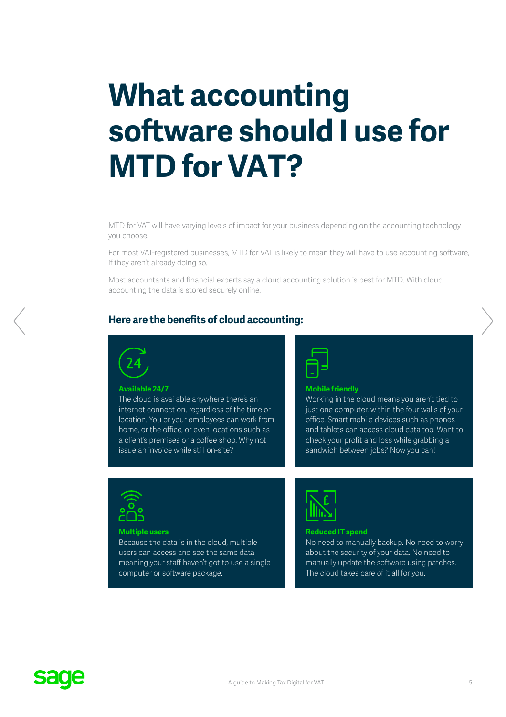### **What accounting software should I use for MTD for VAT?**

MTD for VAT will have varying levels of impact for your business depending on the accounting technology you choose.

For most VAT-registered businesses, MTD for VAT is likely to mean they will have to use accounting software, if they aren't already doing so.

Most accountants and financial experts say a cloud accounting solution is best for MTD. With cloud accounting the data is stored securely online.

#### **Here are the benefits of cloud accounting:**



#### **Available 24/7**

The cloud is available anywhere there's an internet connection, regardless of the time or location. You or your employees can work from home, or the office, or even locations such as a client's premises or a coffee shop. Why not issue an invoice while still on-site?



#### **Mobile friendly**

Working in the cloud means you aren't tied to just one computer, within the four walls of your office. Smart mobile devices such as phones and tablets can access cloud data too. Want to check your profit and loss while grabbing a sandwich between jobs? Now you can!



#### **Multiple users**

Because the data is in the cloud, multiple users can access and see the same data – meaning your staff haven't got to use a single computer or software package.



#### **Reduced IT spend**

No need to manually backup. No need to worry about the security of your data. No need to manually update the software using patches. The cloud takes care of it all for you.

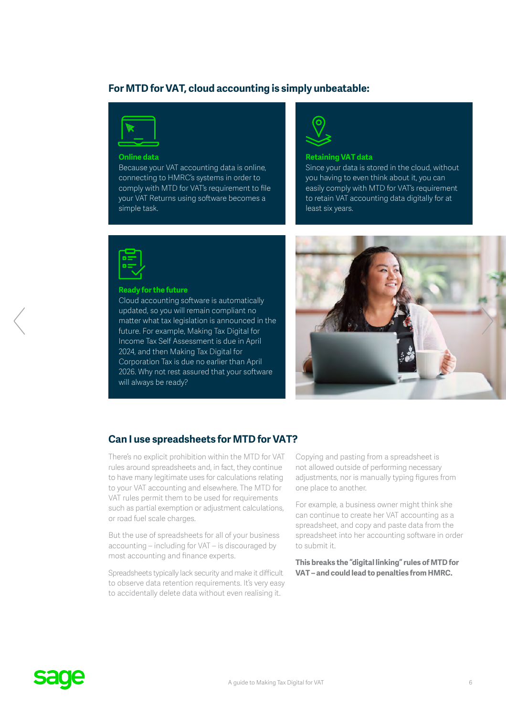#### **For MTD for VAT, cloud accounting is simply unbeatable:**



#### **Online data**

Because your VAT accounting data is online, connecting to HMRC's systems in order to comply with MTD for VAT's requirement to file your VAT Returns using software becomes a simple task.



#### **Retaining VAT data**

Since your data is stored in the cloud, without you having to even think about it, you can easily comply with MTD for VAT's requirement to retain VAT accounting data digitally for at least six years.



#### **Ready for the future**

Cloud accounting software is automatically updated, so you will remain compliant no matter what tax legislation is announced in the future. For example, Making Tax Digital for Income Tax Self Assessment is due in April 2024, and then Making Tax Digital for Corporation Tax is due no earlier than April 2026. Why not rest assured that your software will always be ready?



#### **Can I use spreadsheets for MTD for VAT?**

There's no explicit prohibition within the MTD for VAT rules around spreadsheets and, in fact, they continue to have many legitimate uses for calculations relating to your VAT accounting and elsewhere. The MTD for VAT rules permit them to be used for requirements such as partial exemption or adjustment calculations, or road fuel scale charges.

But the use of spreadsheets for all of your business accounting – including for VAT – is discouraged by most accounting and finance experts.

Spreadsheets typically lack security and make it difficult to observe data retention requirements. It's very easy to accidentally delete data without even realising it.

Copying and pasting from a spreadsheet is not allowed outside of performing necessary adjustments, nor is manually typing figures from one place to another.

For example, a business owner might think she can continue to create her VAT accounting as a spreadsheet, and copy and paste data from the spreadsheet into her accounting software in order to submit it.

**This breaks the "digital linking" rules of MTD for VAT – and could lead to penalties from HMRC.** 

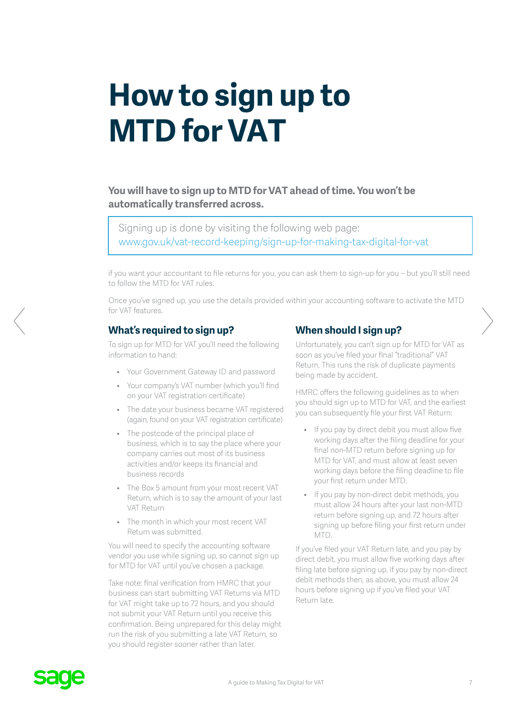## **How to sign up to MTD for VAT**

**You will have to sign up to MTD for VAT ahead of time. You won't be automatically transferred across.** 

Signing up is done by visiting the following web page: [www.gov.uk/vat-record-keeping/sign-up-for-making-tax-digital-for-vat](https://www.gov.uk/vat-record-keeping/sign-up-for-making-tax-digital-for-vat)

if you want your accountant to file returns for you, you can ask them to sign-up for you – but you'll still need to follow the MTD for VAT rules.

Once you've signed up, you use the details provided within your accounting software to activate the MTD for VAT features.

#### **What's required to sign up?**

To sign up for MTD for VAT you'll need the following information to hand:

- Your Government Gateway ID and password
- Your company's VAT number (which you'll find on your VAT registration certificate)
- The date your business became VAT registered (again, found on your VAT registration certificate)
- The postcode of the principal place of business, which is to say the place where your company carries out most of its business activities and/or keeps its financial and business records
- The Box 5 amount from your most recent VAT Return, which is to say the amount of your last VAT Return
- The month in which your most recent VAT Return was submitted.

You will need to specify the accounting software vendor you use while signing up, so cannot sign up for MTD for VAT until you've chosen a package.

Take note: final verification from HMRC that your business can start submitting VAT Returns via MTD for VAT might take up to 72 hours, and you should not submit your VAT Return until you receive this confirmation. Being unprepared for this delay might run the risk of you submitting a late VAT Return, so you should register sooner rather than later.

### **When should I sign up?**

Unfortunately, you can't sign up for MTD for VAT as soon as you've filed your final "traditional" VAT Return. This runs the risk of duplicate payments being made by accident.

HMRC offers the following guidelines as to when you should sign up to MTD for VAT, and the earliest you can subsequently file your first VAT Return:

- If you pay by direct debit you must allow five working days after the filing deadline for your final non-MTD return before signing up for MTD for VAT, and must allow at least seven working days before the filing deadline to file your first return under MTD.
- If you pay by non-direct debit methods, you must allow 24 hours after your last non-MTD return before signing up, and 72 hours after signing up before filing your first return under MTD.

If you've filed your VAT Return late, and you pay by direct debit, you must allow five working days after filing late before signing up. If you pay by non-direct debit methods then, as above, you must allow 24 hours before signing up if you've filed your VAT Return late.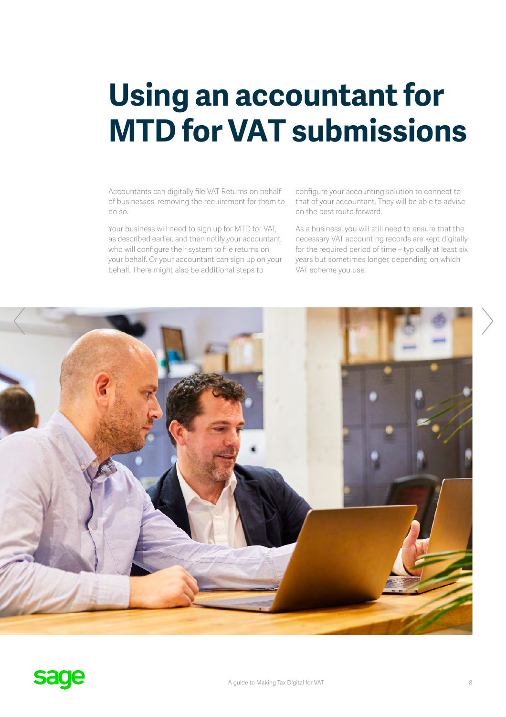### **Using an accountant for MTD for VAT submissions**

Accountants can digitally file VAT Returns on behalf of businesses, removing the requirement for them to do so.

Your business will need to sign up for MTD for VAT, as described earlier, and then notify your accountant, who will configure their system to file returns on your behalf. Or your accountant can sign up on your behalf. There might also be additional steps to

configure your accounting solution to connect to that of your accountant. They will be able to advise on the best route forward.

As a business, you will still need to ensure that the necessary VAT accounting records are kept digitally for the required period of time – typically at least six years but sometimes longer, depending on which VAT scheme you use.

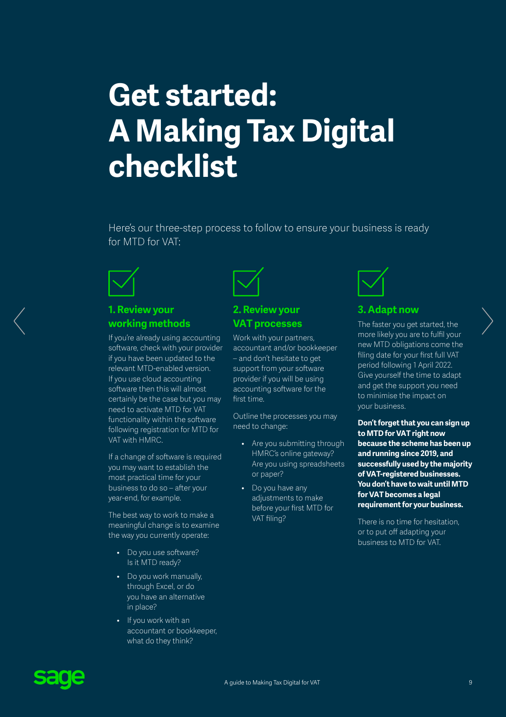### **Get started: A Making Tax Digital checklist**

Here's our three-step process to follow to ensure your business is ready for MTD for VAT:



#### **1. Review your working methods**

If you're already using accounting software, check with your provider if you have been updated to the relevant MTD-enabled version. If you use cloud accounting software then this will almost certainly be the case but you may need to activate MTD for VAT functionality within the software following registration for MTD for VAT with HMRC.

If a change of software is required you may want to establish the most practical time for your business to do so – after your year-end, for example.

The best way to work to make a meaningful change is to examine the way you currently operate:

- Do you use software? Is it MTD ready?
- Do you work manually, through Excel, or do you have an alternative in place?
- If you work with an accountant or bookkeeper, what do they think?



#### **2. Review your VAT processes**

Work with your partners, accountant and/or bookkeeper – and don't hesitate to get support from your software provider if you will be using accounting software for the first time.

Outline the processes you may need to change:

- Are you submitting through HMRC's online gateway? Are you using spreadsheets or paper?
- Do you have any adjustments to make before your first MTD for VAT filing?



#### **3. Adapt now**

The faster you get started, the more likely you are to fulfil your new MTD obligations come the filing date for your first full VAT period following 1 April 2022. Give yourself the time to adapt and get the support you need to minimise the impact on your business.

**Don't forget that you can sign up to MTD for VAT right now because the scheme has been up and running since 2019, and successfully used by the majority of VAT-registered businesses. You don't have to wait until MTD for VAT becomes a legal requirement for your business.** 

There is no time for hesitation, or to put off adapting your business to MTD for VAT.

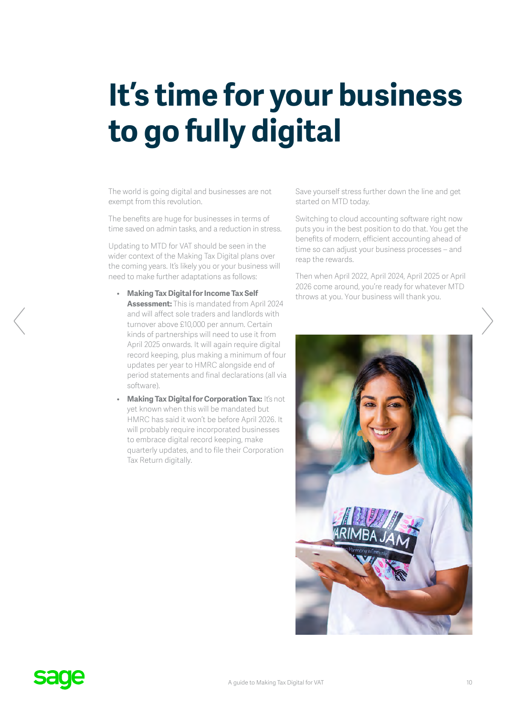## **It's time for your business to go fully digital**

The world is going digital and businesses are not exempt from this revolution.

The benefits are huge for businesses in terms of time saved on admin tasks, and a reduction in stress.

Updating to MTD for VAT should be seen in the wider context of the Making Tax Digital plans over the coming years. It's likely you or your business will need to make further adaptations as follows:

- **Making Tax Digital for Income Tax Self Assessment:** This is mandated from April 2024 and will affect sole traders and landlords with turnover above £10,000 per annum. Certain kinds of partnerships will need to use it from April 2025 onwards. It will again require digital record keeping, plus making a minimum of four updates per year to HMRC alongside end of period statements and final declarations (all via software).
- **Making Tax Digital for Corporation Tax: It's not** yet known when this will be mandated but HMRC has said it won't be before April 2026. It will probably require incorporated businesses to embrace digital record keeping, make quarterly updates, and to file their Corporation Tax Return digitally.

Save yourself stress further down the line and get started on MTD today.

Switching to cloud accounting software right now puts you in the best position to do that. You get the benefits of modern, efficient accounting ahead of time so can adjust your business processes – and reap the rewards.

Then when April 2022, April 2024, April 2025 or April 2026 come around, you're ready for whatever MTD throws at you. Your business will thank you.

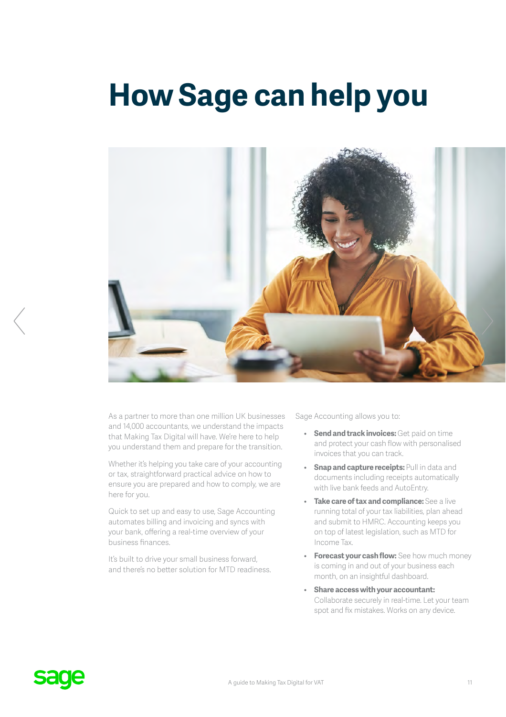### **How Sage can help you**



As a partner to more than one million UK businesses and 14,000 accountants, we understand the impacts that Making Tax Digital will have. We're here to help you understand them and prepare for the transition.

Whether it's helping you take care of your accounting or tax, straightforward practical advice on how to ensure you are prepared and how to comply, we are here for you.

Quick to set up and easy to use, Sage Accounting automates billing and invoicing and syncs with your bank, offering a real-time overview of your business finances.

It's built to drive your small business forward, and there's no better solution for MTD readiness. Sage Accounting allows you to:

- **Send and track invoices:** Get paid on time and protect your cash flow with personalised invoices that you can track.
- **Snap and capture receipts: Pull in data and** documents including receipts automatically with live bank feeds and AutoEntry.
- **Take care of tax and compliance:** See a live running total of your tax liabilities, plan ahead and submit to HMRC. Accounting keeps you on top of latest legislation, such as MTD for Income Tax.
- **Forecast your cash flow:** See how much money is coming in and out of your business each month, on an insightful dashboard.
- **Share access with your accountant:** Collaborate securely in real-time. Let your team spot and fix mistakes. Works on any device.